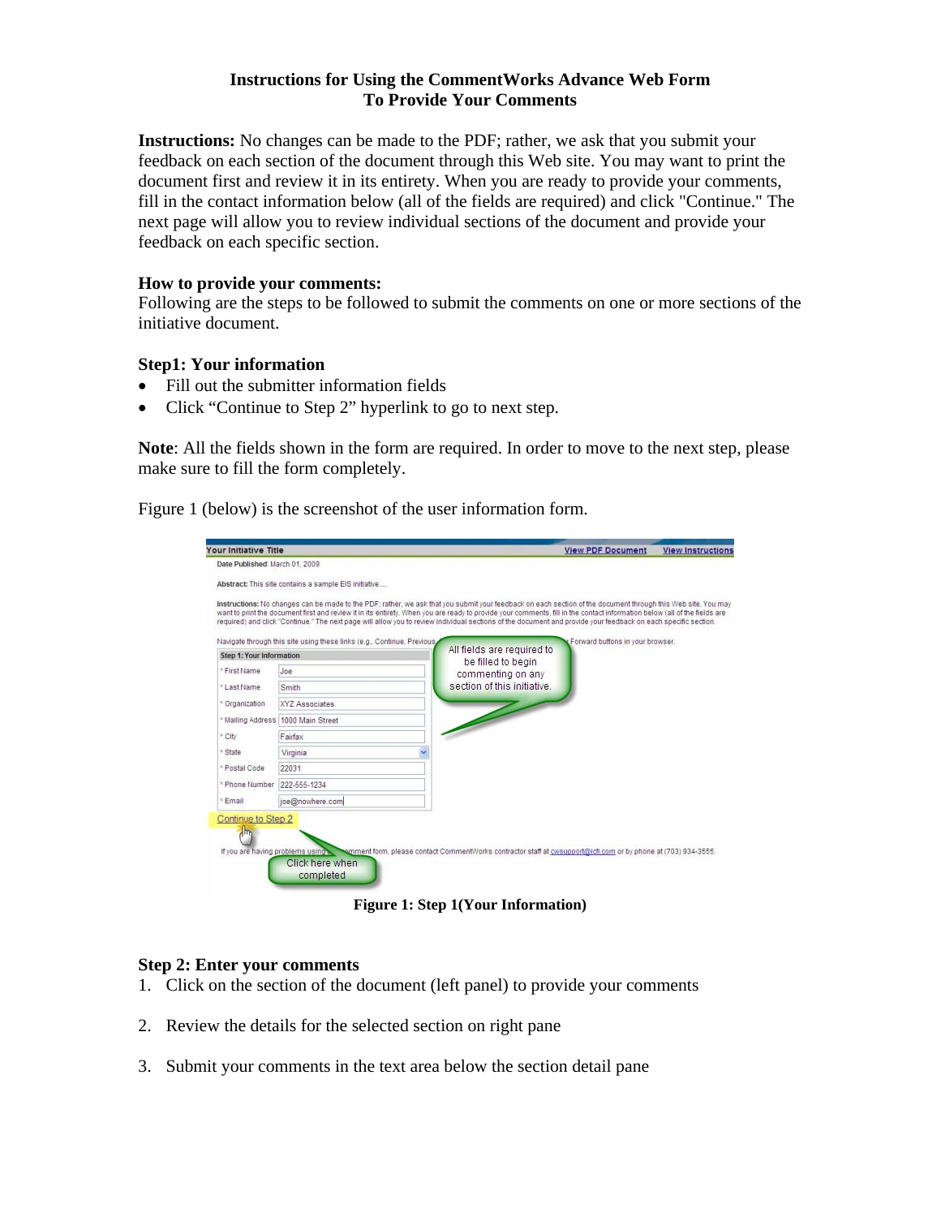## **Instructions for Using the CommentWorks Advance Web Form To Provide Your Comments**

**Instructions:** No changes can be made to the PDF; rather, we ask that you submit your feedback on each section of the document through this Web site. You may want to print the document first and review it in its entirety. When you are ready to provide your comments, fill in the contact information below (all of the fields are required) and click "Continue." The next page will allow you to review individual sections of the document and provide your feedback on each specific section.

### **How to provide your comments:**

Following are the steps to be followed to submit the comments on one or more sections of the initiative document.

### **Step1: Your information**

- Fill out the submitter information fields
- Click "Continue to Step 2" hyperlink to go to next step.

**Note**: All the fields shown in the form are required. In order to move to the next step, please make sure to fill the form completely.

Figure 1 (below) is the screenshot of the user information form.

|                                                                                                     | Your Initiative Title                                |                                                                                                                                                                                                                                                                                                                                                                                                                                                                                                             | <b>View PDF Document</b>                | <b>View Instructions</b> |
|-----------------------------------------------------------------------------------------------------|------------------------------------------------------|-------------------------------------------------------------------------------------------------------------------------------------------------------------------------------------------------------------------------------------------------------------------------------------------------------------------------------------------------------------------------------------------------------------------------------------------------------------------------------------------------------------|-----------------------------------------|--------------------------|
| Date Published: March 01, 2009                                                                      |                                                      |                                                                                                                                                                                                                                                                                                                                                                                                                                                                                                             |                                         |                          |
|                                                                                                     | Abstract: This site contains a sample EIS initiative |                                                                                                                                                                                                                                                                                                                                                                                                                                                                                                             |                                         |                          |
|                                                                                                     |                                                      | Instructions: No changes can be made to the PDF; rather, we ask that you submit your feedback on each section of the document through this Web site. You may<br>want to print the document first and review it in its entirety. When you are ready to provide your comments, fill in the contact information below (all of the fields are<br>required) and click "Continue." The next page will allow you to review individual sections of the document and provide your feedback on each specific section. |                                         |                          |
| Navigate through this site using these links (e.g., Continue, Previous,<br>Step 1: Your Information |                                                      | All fields are required to                                                                                                                                                                                                                                                                                                                                                                                                                                                                                  | Forward buttons in your browser.        |                          |
| * First Name                                                                                        | Joe                                                  |                                                                                                                                                                                                                                                                                                                                                                                                                                                                                                             | be filled to begin<br>commenting on any |                          |
| * Last Name                                                                                         | Smith                                                | section of this initiative.                                                                                                                                                                                                                                                                                                                                                                                                                                                                                 |                                         |                          |
| * Organization                                                                                      | XYZ Associates                                       |                                                                                                                                                                                                                                                                                                                                                                                                                                                                                                             |                                         |                          |
| * Mailing Address 1000 Main Street                                                                  |                                                      |                                                                                                                                                                                                                                                                                                                                                                                                                                                                                                             |                                         |                          |
| * City                                                                                              | Fairfax                                              |                                                                                                                                                                                                                                                                                                                                                                                                                                                                                                             |                                         |                          |
| * State                                                                                             | Virginia                                             |                                                                                                                                                                                                                                                                                                                                                                                                                                                                                                             |                                         |                          |
| * Postal Code                                                                                       | 22031                                                |                                                                                                                                                                                                                                                                                                                                                                                                                                                                                                             |                                         |                          |
| * Phone Number                                                                                      | 222-555-1234                                         |                                                                                                                                                                                                                                                                                                                                                                                                                                                                                                             |                                         |                          |
| <sup>*</sup> Email                                                                                  | joe@nowhere.com                                      |                                                                                                                                                                                                                                                                                                                                                                                                                                                                                                             |                                         |                          |

**Figure 1: Step 1(Your Information)**

#### **Step 2: Enter your comments**

- 1. Click on the section of the document (left panel) to provide your comments
- 2. Review the details for the selected section on right pane
- 3. Submit your comments in the text area below the section detail pane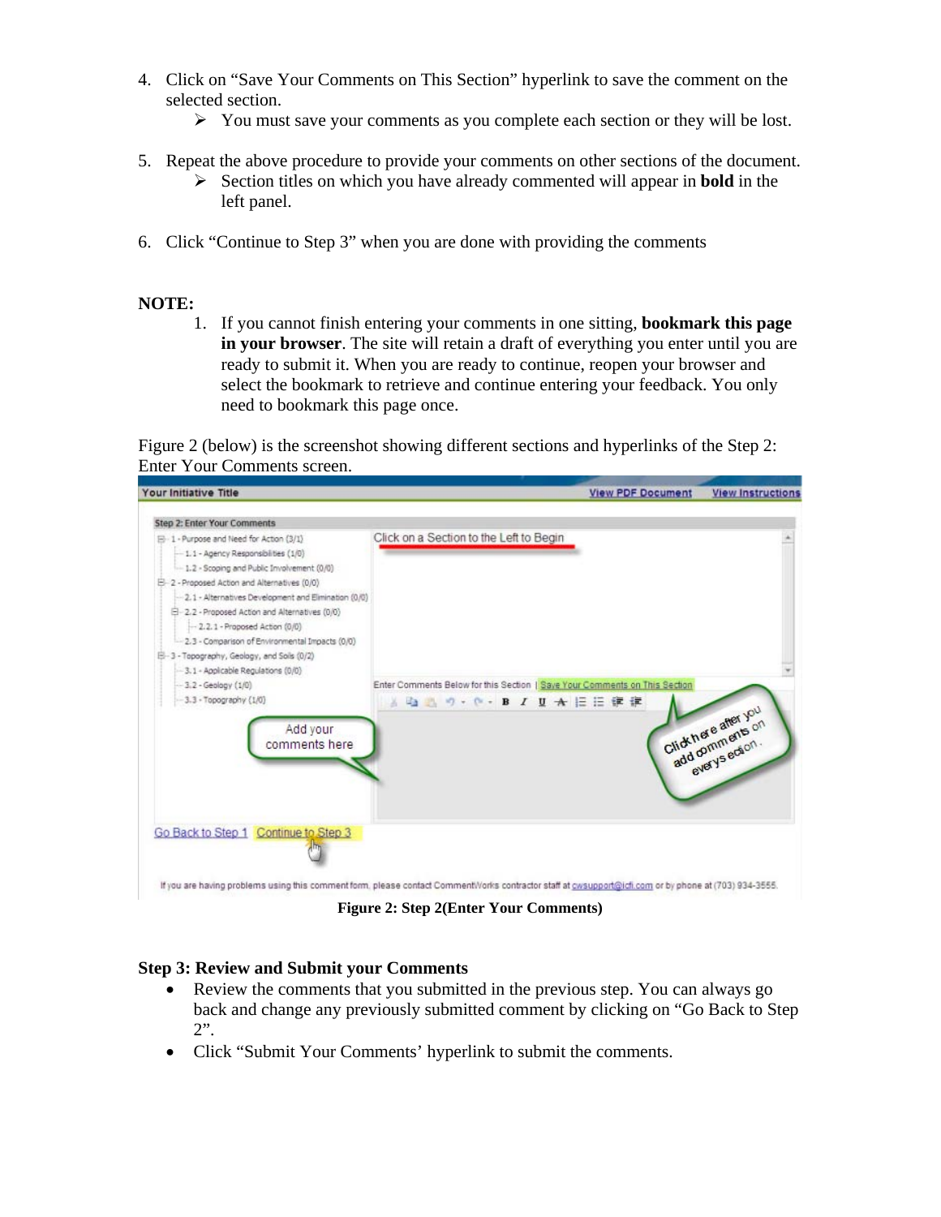- 4. Click on "Save Your Comments on This Section" hyperlink to save the comment on the selected section.
	- $\triangleright$  You must save your comments as you complete each section or they will be lost.
- 5. Repeat the above procedure to provide your comments on other sections of the document.
	- ¾ Section titles on which you have already commented will appear in **bold** in the left panel.
- 6. Click "Continue to Step 3" when you are done with providing the comments

# **NOTE:**

1. If you cannot finish entering your comments in one sitting, **bookmark this page in your browser**. The site will retain a draft of everything you enter until you are ready to submit it. When you are ready to continue, reopen your browser and select the bookmark to retrieve and continue entering your feedback. You only need to bookmark this page once.

Figure 2 (below) is the screenshot showing different sections and hyperlinks of the Step 2: Enter Your Comments screen.



**Figure 2: Step 2(Enter Your Comments)**

# **Step 3: Review and Submit your Comments**

- Review the comments that you submitted in the previous step. You can always go back and change any previously submitted comment by clicking on "Go Back to Step 2".
- Click "Submit Your Comments' hyperlink to submit the comments.